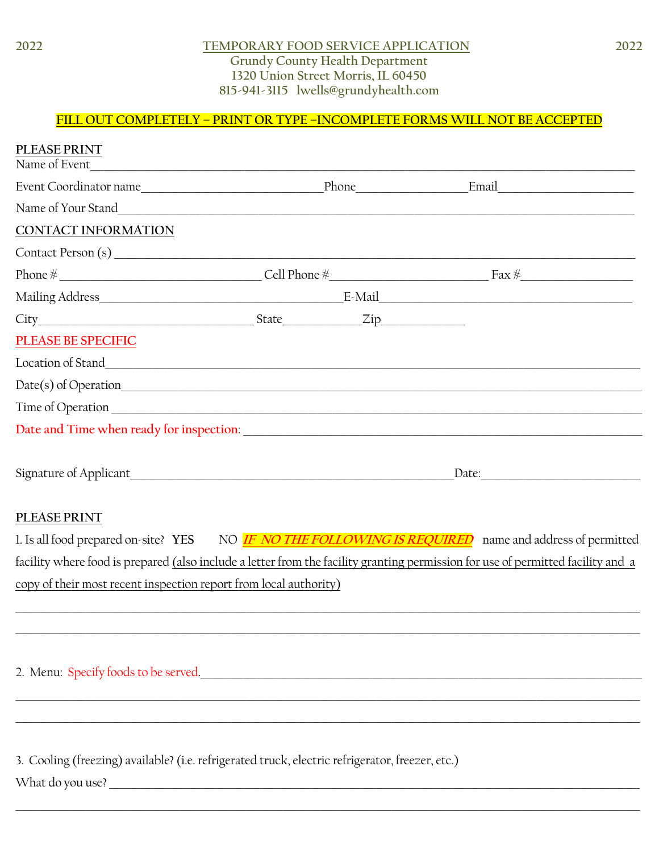## TEMPORARY FOOD SERVICE APPLICATION **Grundy County Health Department** 1320 Union Street Morris, IL 60450 815-941-3115 lwells@grundyhealth.com

## FILL OUT COMPLETELY - PRINT OR TYPE -INCOMPLETE FORMS WILL NOT BE ACCEPTED

| PLEASE PRINT<br>Name of Event                                                                    | <u> 1980 - Johann John Stone, markin f</u> |       |                                                                                                                                                                                                                                |  |  |
|--------------------------------------------------------------------------------------------------|--------------------------------------------|-------|--------------------------------------------------------------------------------------------------------------------------------------------------------------------------------------------------------------------------------|--|--|
| Event Coordinator name                                                                           |                                            | Phone | Email Participation and the contract of the contract of the contract of the contract of the contract of the contract of the contract of the contract of the contract of the contract of the contract of the contract of the co |  |  |
|                                                                                                  |                                            |       |                                                                                                                                                                                                                                |  |  |
| CONTACT INFORMATION                                                                              |                                            |       |                                                                                                                                                                                                                                |  |  |
|                                                                                                  |                                            |       |                                                                                                                                                                                                                                |  |  |
|                                                                                                  |                                            |       | Phone $\frac{M}{N}$ Fax $\frac{M}{N}$ Fax $\frac{M}{N}$ Fax $\frac{M}{N}$ Fax $\frac{M}{N}$ Fax $\frac{M}{N}$ Fax $\frac{M}{N}$                                                                                                |  |  |
|                                                                                                  |                                            |       |                                                                                                                                                                                                                                |  |  |
|                                                                                                  |                                            |       |                                                                                                                                                                                                                                |  |  |
| <b>PLEASE BE SPECIFIC</b>                                                                        |                                            |       |                                                                                                                                                                                                                                |  |  |
|                                                                                                  |                                            |       |                                                                                                                                                                                                                                |  |  |
|                                                                                                  |                                            |       |                                                                                                                                                                                                                                |  |  |
|                                                                                                  |                                            |       |                                                                                                                                                                                                                                |  |  |
|                                                                                                  |                                            |       |                                                                                                                                                                                                                                |  |  |
|                                                                                                  | Date:                                      |       |                                                                                                                                                                                                                                |  |  |
| PLEASE PRINT                                                                                     |                                            |       |                                                                                                                                                                                                                                |  |  |
|                                                                                                  |                                            |       | 1. Is all food prepared on-site? YES NO <b>IF NO THE FOLLOWING IS REQUIRED</b> name and address of permitted                                                                                                                   |  |  |
|                                                                                                  |                                            |       | facility where food is prepared (also include a letter from the facility granting permission for use of permitted facility and a                                                                                               |  |  |
| copy of their most recent inspection report from local authority)                                |                                            |       |                                                                                                                                                                                                                                |  |  |
|                                                                                                  |                                            |       |                                                                                                                                                                                                                                |  |  |
|                                                                                                  |                                            |       |                                                                                                                                                                                                                                |  |  |
| 2. Menu: Specify foods to be served.                                                             |                                            |       |                                                                                                                                                                                                                                |  |  |
|                                                                                                  |                                            |       |                                                                                                                                                                                                                                |  |  |
|                                                                                                  |                                            |       |                                                                                                                                                                                                                                |  |  |
|                                                                                                  |                                            |       |                                                                                                                                                                                                                                |  |  |
| 3. Cooling (freezing) available? (i.e. refrigerated truck, electric refrigerator, freezer, etc.) |                                            |       |                                                                                                                                                                                                                                |  |  |
|                                                                                                  |                                            |       |                                                                                                                                                                                                                                |  |  |
|                                                                                                  |                                            |       |                                                                                                                                                                                                                                |  |  |